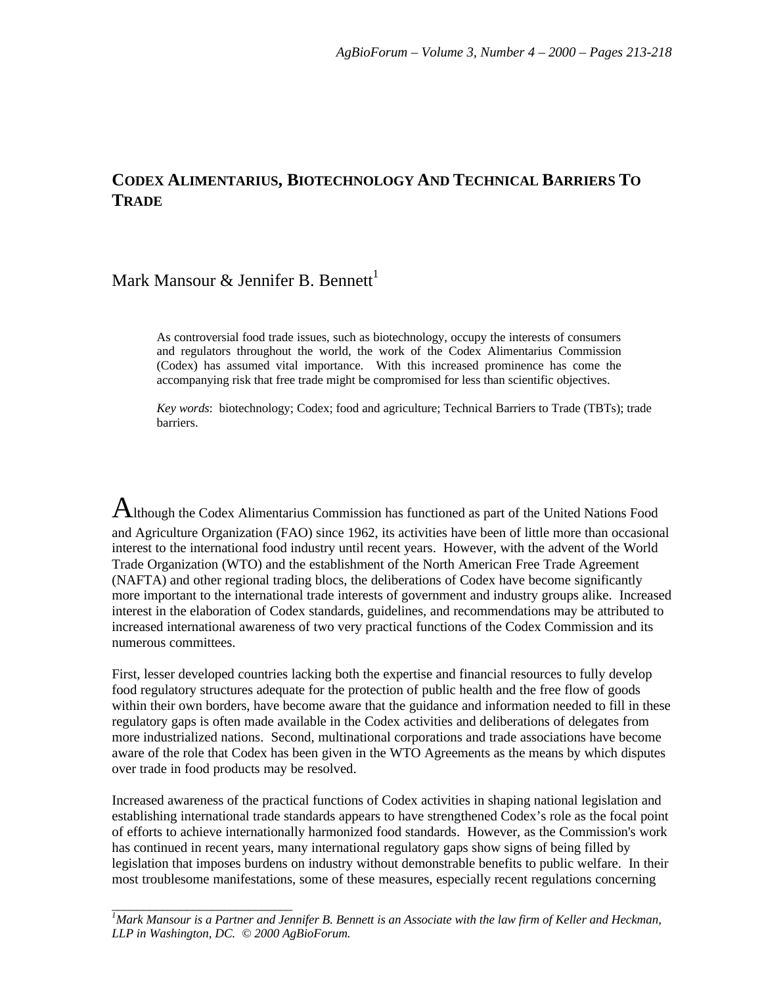# **CODEX ALIMENTARIUS, BIOTECHNOLOGY AND TECHNICAL BARRIERS TO TRADE**

## Mark Mansour  $\&$  Jennifer B. Bennett<sup>1</sup>

*\_\_\_\_\_\_\_\_\_\_\_\_\_\_\_\_\_\_\_\_\_\_\_\_\_\_\_\_\_*

As controversial food trade issues, such as biotechnology, occupy the interests of consumers and regulators throughout the world, the work of the Codex Alimentarius Commission (Codex) has assumed vital importance. With this increased prominence has come the accompanying risk that free trade might be compromised for less than scientific objectives.

*Key words*: biotechnology; Codex; food and agriculture; Technical Barriers to Trade (TBTs); trade barriers.

Although the Codex Alimentarius Commission has functioned as part of the United Nations Food and Agriculture Organization (FAO) since 1962, its activities have been of little more than occasional interest to the international food industry until recent years. However, with the advent of the World Trade Organization (WTO) and the establishment of the North American Free Trade Agreement (NAFTA) and other regional trading blocs, the deliberations of Codex have become significantly more important to the international trade interests of government and industry groups alike. Increased interest in the elaboration of Codex standards, guidelines, and recommendations may be attributed to increased international awareness of two very practical functions of the Codex Commission and its numerous committees.

First, lesser developed countries lacking both the expertise and financial resources to fully develop food regulatory structures adequate for the protection of public health and the free flow of goods within their own borders, have become aware that the guidance and information needed to fill in these regulatory gaps is often made available in the Codex activities and deliberations of delegates from more industrialized nations. Second, multinational corporations and trade associations have become aware of the role that Codex has been given in the WTO Agreements as the means by which disputes over trade in food products may be resolved.

Increased awareness of the practical functions of Codex activities in shaping national legislation and establishing international trade standards appears to have strengthened Codex's role as the focal point of efforts to achieve internationally harmonized food standards. However, as the Commission's work has continued in recent years, many international regulatory gaps show signs of being filled by legislation that imposes burdens on industry without demonstrable benefits to public welfare. In their most troublesome manifestations, some of these measures, especially recent regulations concerning

*<sup>1</sup>Mark Mansour is a Partner and Jennifer B. Bennett is an Associate with the law firm of Keller and Heckman, LLP in Washington, DC. © 2000 AgBioForum.*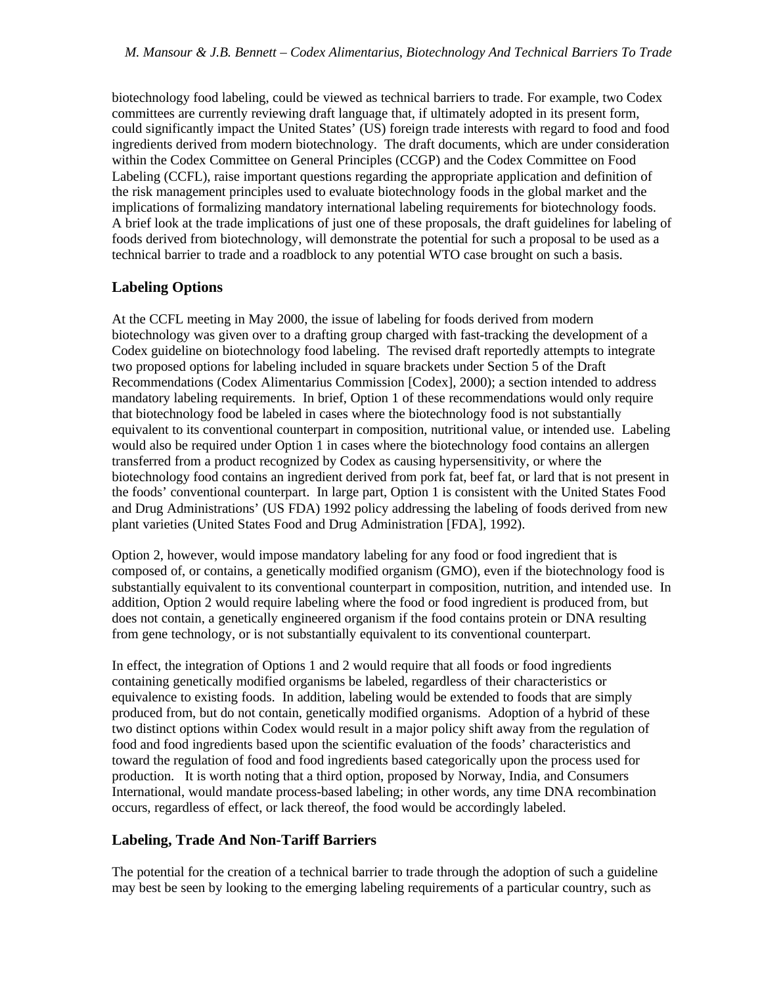biotechnology food labeling, could be viewed as technical barriers to trade. For example, two Codex committees are currently reviewing draft language that, if ultimately adopted in its present form, could significantly impact the United States' (US) foreign trade interests with regard to food and food ingredients derived from modern biotechnology. The draft documents, which are under consideration within the Codex Committee on General Principles (CCGP) and the Codex Committee on Food Labeling (CCFL), raise important questions regarding the appropriate application and definition of the risk management principles used to evaluate biotechnology foods in the global market and the implications of formalizing mandatory international labeling requirements for biotechnology foods. A brief look at the trade implications of just one of these proposals, the draft guidelines for labeling of foods derived from biotechnology, will demonstrate the potential for such a proposal to be used as a technical barrier to trade and a roadblock to any potential WTO case brought on such a basis.

### **Labeling Options**

At the CCFL meeting in May 2000, the issue of labeling for foods derived from modern biotechnology was given over to a drafting group charged with fast-tracking the development of a Codex guideline on biotechnology food labeling. The revised draft reportedly attempts to integrate two proposed options for labeling included in square brackets under Section 5 of the Draft Recommendations (Codex Alimentarius Commission [Codex], 2000); a section intended to address mandatory labeling requirements. In brief, Option 1 of these recommendations would only require that biotechnology food be labeled in cases where the biotechnology food is not substantially equivalent to its conventional counterpart in composition, nutritional value, or intended use. Labeling would also be required under Option 1 in cases where the biotechnology food contains an allergen transferred from a product recognized by Codex as causing hypersensitivity, or where the biotechnology food contains an ingredient derived from pork fat, beef fat, or lard that is not present in the foods' conventional counterpart. In large part, Option 1 is consistent with the United States Food and Drug Administrations' (US FDA) 1992 policy addressing the labeling of foods derived from new plant varieties (United States Food and Drug Administration [FDA], 1992).

Option 2, however, would impose mandatory labeling for any food or food ingredient that is composed of, or contains, a genetically modified organism (GMO), even if the biotechnology food is substantially equivalent to its conventional counterpart in composition, nutrition, and intended use. In addition, Option 2 would require labeling where the food or food ingredient is produced from, but does not contain, a genetically engineered organism if the food contains protein or DNA resulting from gene technology, or is not substantially equivalent to its conventional counterpart.

In effect, the integration of Options 1 and 2 would require that all foods or food ingredients containing genetically modified organisms be labeled, regardless of their characteristics or equivalence to existing foods. In addition, labeling would be extended to foods that are simply produced from, but do not contain, genetically modified organisms. Adoption of a hybrid of these two distinct options within Codex would result in a major policy shift away from the regulation of food and food ingredients based upon the scientific evaluation of the foods' characteristics and toward the regulation of food and food ingredients based categorically upon the process used for production. It is worth noting that a third option, proposed by Norway, India, and Consumers International, would mandate process-based labeling; in other words, any time DNA recombination occurs, regardless of effect, or lack thereof, the food would be accordingly labeled.

#### **Labeling, Trade And Non-Tariff Barriers**

The potential for the creation of a technical barrier to trade through the adoption of such a guideline may best be seen by looking to the emerging labeling requirements of a particular country, such as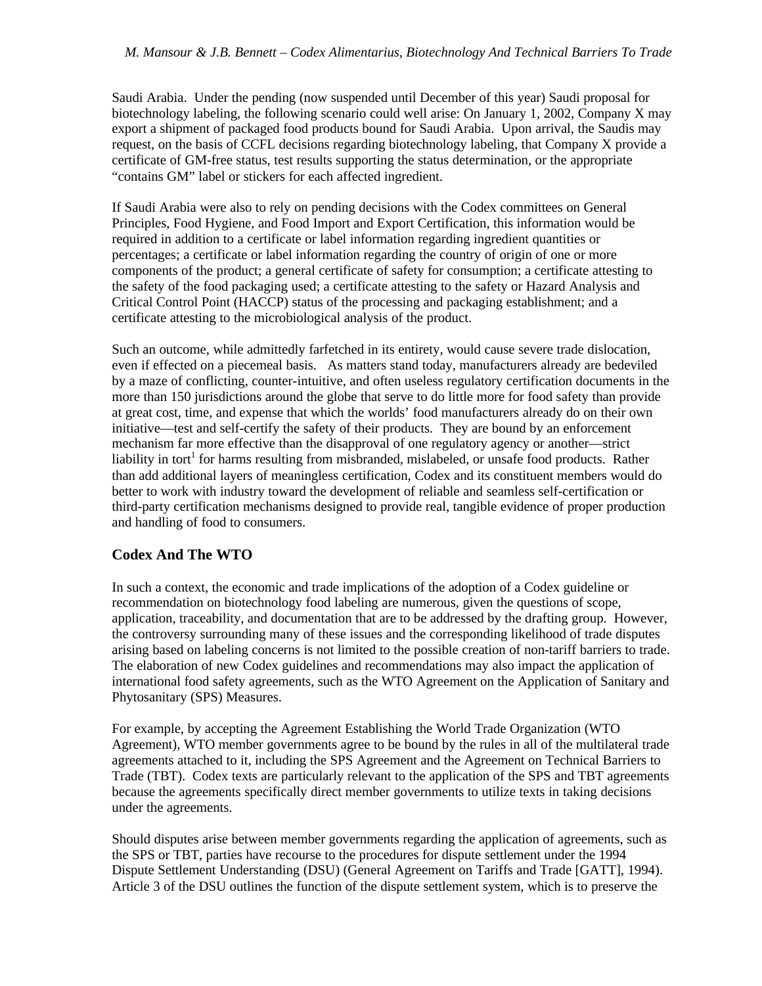Saudi Arabia. Under the pending (now suspended until December of this year) Saudi proposal for biotechnology labeling, the following scenario could well arise: On January 1, 2002, Company X may export a shipment of packaged food products bound for Saudi Arabia. Upon arrival, the Saudis may request, on the basis of CCFL decisions regarding biotechnology labeling, that Company X provide a certificate of GM-free status, test results supporting the status determination, or the appropriate "contains GM" label or stickers for each affected ingredient.

If Saudi Arabia were also to rely on pending decisions with the Codex committees on General Principles, Food Hygiene, and Food Import and Export Certification, this information would be required in addition to a certificate or label information regarding ingredient quantities or percentages; a certificate or label information regarding the country of origin of one or more components of the product; a general certificate of safety for consumption; a certificate attesting to the safety of the food packaging used; a certificate attesting to the safety or Hazard Analysis and Critical Control Point (HACCP) status of the processing and packaging establishment; and a certificate attesting to the microbiological analysis of the product.

Such an outcome, while admittedly farfetched in its entirety, would cause severe trade dislocation, even if effected on a piecemeal basis. As matters stand today, manufacturers already are bedeviled by a maze of conflicting, counter-intuitive, and often useless regulatory certification documents in the more than 150 jurisdictions around the globe that serve to do little more for food safety than provide at great cost, time, and expense that which the worlds' food manufacturers already do on their own initiative—test and self-certify the safety of their products. They are bound by an enforcement mechanism far more effective than the disapproval of one regulatory agency or another—strict liability in tort<sup>1</sup> for harms resulting from misbranded, mislabeled, or unsafe food products. Rather than add additional layers of meaningless certification, Codex and its constituent members would do better to work with industry toward the development of reliable and seamless self-certification or third-party certification mechanisms designed to provide real, tangible evidence of proper production and handling of food to consumers.

### **Codex And The WTO**

In such a context, the economic and trade implications of the adoption of a Codex guideline or recommendation on biotechnology food labeling are numerous, given the questions of scope, application, traceability, and documentation that are to be addressed by the drafting group. However, the controversy surrounding many of these issues and the corresponding likelihood of trade disputes arising based on labeling concerns is not limited to the possible creation of non-tariff barriers to trade. The elaboration of new Codex guidelines and recommendations may also impact the application of international food safety agreements, such as the WTO Agreement on the Application of Sanitary and Phytosanitary (SPS) Measures.

For example, by accepting the Agreement Establishing the World Trade Organization (WTO Agreement), WTO member governments agree to be bound by the rules in all of the multilateral trade agreements attached to it, including the SPS Agreement and the Agreement on Technical Barriers to Trade (TBT). Codex texts are particularly relevant to the application of the SPS and TBT agreements because the agreements specifically direct member governments to utilize texts in taking decisions under the agreements.

Should disputes arise between member governments regarding the application of agreements, such as the SPS or TBT, parties have recourse to the procedures for dispute settlement under the 1994 Dispute Settlement Understanding (DSU) (General Agreement on Tariffs and Trade [GATT], 1994). Article 3 of the DSU outlines the function of the dispute settlement system, which is to preserve the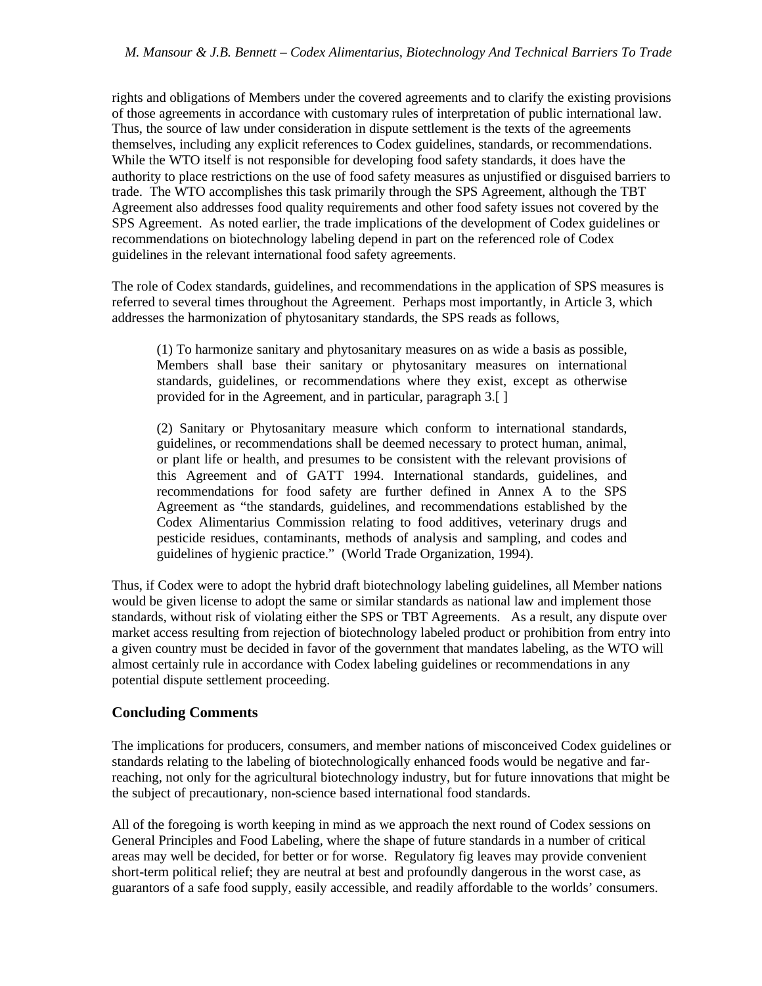rights and obligations of Members under the covered agreements and to clarify the existing provisions of those agreements in accordance with customary rules of interpretation of public international law. Thus, the source of law under consideration in dispute settlement is the texts of the agreements themselves, including any explicit references to Codex guidelines, standards, or recommendations. While the WTO itself is not responsible for developing food safety standards, it does have the authority to place restrictions on the use of food safety measures as unjustified or disguised barriers to trade. The WTO accomplishes this task primarily through the SPS Agreement, although the TBT Agreement also addresses food quality requirements and other food safety issues not covered by the SPS Agreement. As noted earlier, the trade implications of the development of Codex guidelines or recommendations on biotechnology labeling depend in part on the referenced role of Codex guidelines in the relevant international food safety agreements.

The role of Codex standards, guidelines, and recommendations in the application of SPS measures is referred to several times throughout the Agreement. Perhaps most importantly, in Article 3, which addresses the harmonization of phytosanitary standards, the SPS reads as follows,

(1) To harmonize sanitary and phytosanitary measures on as wide a basis as possible, Members shall base their sanitary or phytosanitary measures on international standards, guidelines, or recommendations where they exist, except as otherwise provided for in the Agreement, and in particular, paragraph 3.[ ]

(2) Sanitary or Phytosanitary measure which conform to international standards, guidelines, or recommendations shall be deemed necessary to protect human, animal, or plant life or health, and presumes to be consistent with the relevant provisions of this Agreement and of GATT 1994. International standards, guidelines, and recommendations for food safety are further defined in Annex A to the SPS Agreement as "the standards, guidelines, and recommendations established by the Codex Alimentarius Commission relating to food additives, veterinary drugs and pesticide residues, contaminants, methods of analysis and sampling, and codes and guidelines of hygienic practice." (World Trade Organization, 1994).

Thus, if Codex were to adopt the hybrid draft biotechnology labeling guidelines, all Member nations would be given license to adopt the same or similar standards as national law and implement those standards, without risk of violating either the SPS or TBT Agreements. As a result, any dispute over market access resulting from rejection of biotechnology labeled product or prohibition from entry into a given country must be decided in favor of the government that mandates labeling, as the WTO will almost certainly rule in accordance with Codex labeling guidelines or recommendations in any potential dispute settlement proceeding.

### **Concluding Comments**

The implications for producers, consumers, and member nations of misconceived Codex guidelines or standards relating to the labeling of biotechnologically enhanced foods would be negative and farreaching, not only for the agricultural biotechnology industry, but for future innovations that might be the subject of precautionary, non-science based international food standards.

All of the foregoing is worth keeping in mind as we approach the next round of Codex sessions on General Principles and Food Labeling, where the shape of future standards in a number of critical areas may well be decided, for better or for worse. Regulatory fig leaves may provide convenient short-term political relief; they are neutral at best and profoundly dangerous in the worst case, as guarantors of a safe food supply, easily accessible, and readily affordable to the worlds' consumers.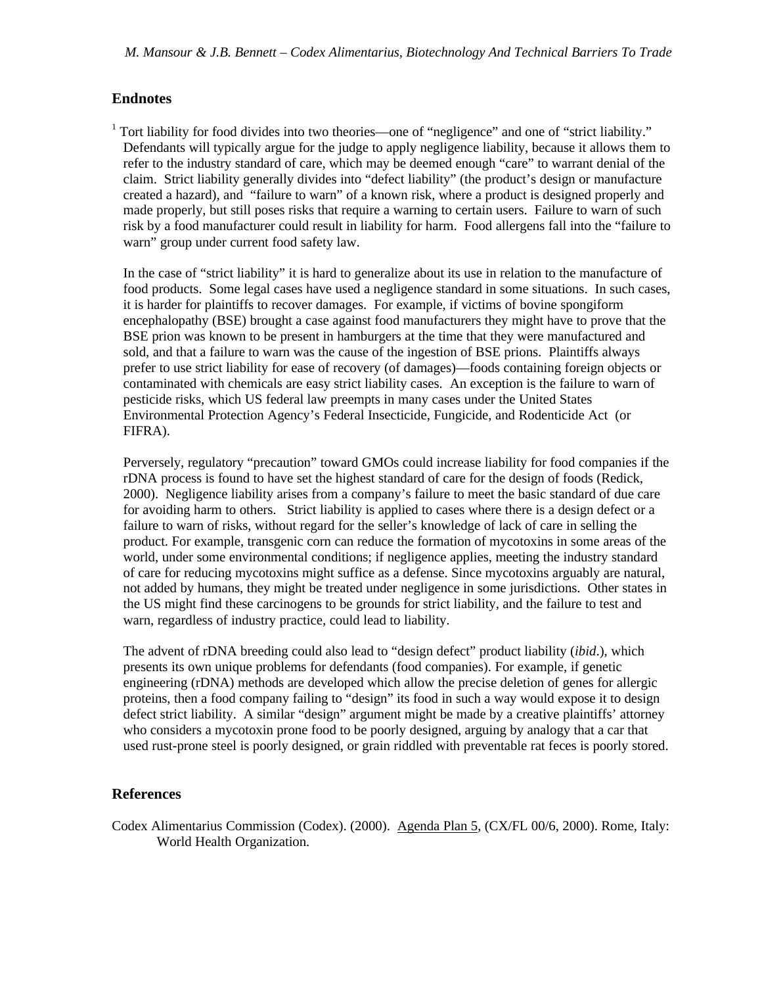#### **Endnotes**

<sup>1</sup> Tort liability for food divides into two theories—one of "negligence" and one of "strict liability." Defendants will typically argue for the judge to apply negligence liability, because it allows them to refer to the industry standard of care, which may be deemed enough "care" to warrant denial of the claim. Strict liability generally divides into "defect liability" (the product's design or manufacture created a hazard), and "failure to warn" of a known risk, where a product is designed properly and made properly, but still poses risks that require a warning to certain users. Failure to warn of such risk by a food manufacturer could result in liability for harm. Food allergens fall into the "failure to warn" group under current food safety law.

In the case of "strict liability" it is hard to generalize about its use in relation to the manufacture of food products. Some legal cases have used a negligence standard in some situations. In such cases, it is harder for plaintiffs to recover damages. For example, if victims of bovine spongiform encephalopathy (BSE) brought a case against food manufacturers they might have to prove that the BSE prion was known to be present in hamburgers at the time that they were manufactured and sold, and that a failure to warn was the cause of the ingestion of BSE prions. Plaintiffs always prefer to use strict liability for ease of recovery (of damages)—foods containing foreign objects or contaminated with chemicals are easy strict liability cases. An exception is the failure to warn of pesticide risks, which US federal law preempts in many cases under the United States Environmental Protection Agency's Federal Insecticide, Fungicide, and Rodenticide Act (or FIFRA).

Perversely, regulatory "precaution" toward GMOs could increase liability for food companies if the rDNA process is found to have set the highest standard of care for the design of foods (Redick, 2000). Negligence liability arises from a company's failure to meet the basic standard of due care for avoiding harm to others. Strict liability is applied to cases where there is a design defect or a failure to warn of risks, without regard for the seller's knowledge of lack of care in selling the product. For example, transgenic corn can reduce the formation of mycotoxins in some areas of the world, under some environmental conditions; if negligence applies, meeting the industry standard of care for reducing mycotoxins might suffice as a defense. Since mycotoxins arguably are natural, not added by humans, they might be treated under negligence in some jurisdictions. Other states in the US might find these carcinogens to be grounds for strict liability, and the failure to test and warn, regardless of industry practice, could lead to liability.

The advent of rDNA breeding could also lead to "design defect" product liability (*ibid*.), which presents its own unique problems for defendants (food companies). For example, if genetic engineering (rDNA) methods are developed which allow the precise deletion of genes for allergic proteins, then a food company failing to "design" its food in such a way would expose it to design defect strict liability. A similar "design" argument might be made by a creative plaintiffs' attorney who considers a mycotoxin prone food to be poorly designed, arguing by analogy that a car that used rust-prone steel is poorly designed, or grain riddled with preventable rat feces is poorly stored.

#### **References**

Codex Alimentarius Commission (Codex). (2000). Agenda Plan 5, (CX/FL 00/6, 2000). Rome, Italy: World Health Organization.